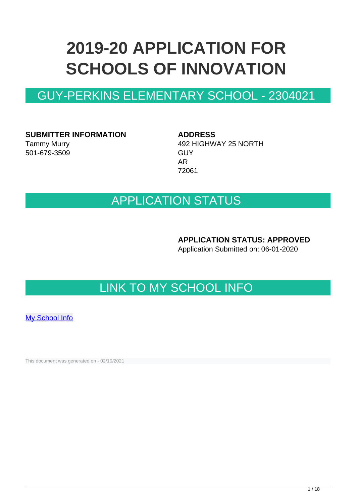# **2019-20 APPLICATION FOR SCHOOLS OF INNOVATION**

# GUY-PERKINS ELEMENTARY SCHOOL - 2304021

**SUBMITTER INFORMATION**

Tammy Murry 501-679-3509 **ADDRESS** 492 HIGHWAY 25 NORTH **GUY** AR 72061

# APPLICATION STATUS

**APPLICATION STATUS: APPROVED**

Application Submitted on: 06-01-2020

# LINK TO MY SCHOOL INFO

[My School Info](https://myschoolinfo.arkansas.gov/Schools/Search?OperationContext=None&SearchFlag=School&Query=2304021)

This document was generated on - 02/10/2021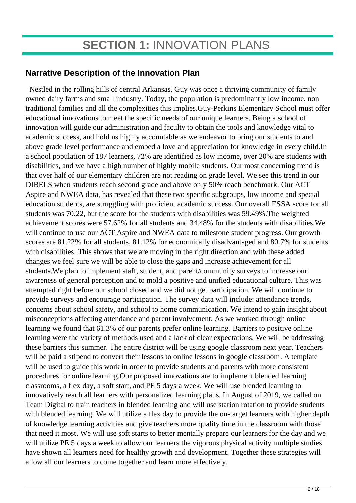# **SECTION 1:** INNOVATION PLANS

### **Narrative Description of the Innovation Plan**

 Nestled in the rolling hills of central Arkansas, Guy was once a thriving community of family owned dairy farms and small industry. Today, the population is predominantly low income, non traditional families and all the complexities this implies.Guy-Perkins Elementary School must offer educational innovations to meet the specific needs of our unique learners. Being a school of innovation will guide our administration and faculty to obtain the tools and knowledge vital to academic success, and hold us highly accountable as we endeavor to bring our students to and above grade level performance and embed a love and appreciation for knowledge in every child.In a school population of 187 learners, 72% are identified as low income, over 20% are students with disabilities, and we have a high number of highly mobile students. Our most concerning trend is that over half of our elementary children are not reading on grade level. We see this trend in our DIBELS when students reach second grade and above only 50% reach benchmark. Our ACT Aspire and NWEA data, has revealed that these two specific subgroups, low income and special education students, are struggling with proficient academic success. Our overall ESSA score for all students was 70.22, but the score for the students with disabilities was 59.49%.The weighted achievement scores were 57.62% for all students and 34.48% for the students with disabilities.We will continue to use our ACT Aspire and NWEA data to milestone student progress. Our growth scores are 81.22% for all students, 81.12% for economically disadvantaged and 80.7% for students with disabilities. This shows that we are moving in the right direction and with these added changes we feel sure we will be able to close the gaps and increase achievement for all students.We plan to implement staff, student, and parent/community surveys to increase our awareness of general perception and to mold a positive and unified educational culture. This was attempted right before our school closed and we did not get participation. We will continue to provide surveys and encourage participation. The survey data will include: attendance trends, concerns about school safety, and school to home communication. We intend to gain insight about misconceptions affecting attendance and parent involvement. As we worked through online learning we found that 61.3% of our parents prefer online learning. Barriers to positive online learning were the variety of methods used and a lack of clear expectations. We will be addressing these barriers this summer. The entire district will be using google classroom next year. Teachers will be paid a stipend to convert their lessons to online lessons in google classroom. A template will be used to guide this work in order to provide students and parents with more consistent procedures for online learning.Our proposed innovations are to implement blended learning classrooms, a flex day, a soft start, and PE 5 days a week. We will use blended learning to innovatively reach all learners with personalized learning plans. In August of 2019, we called on Team Digital to train teachers in blended learning and will use station rotation to provide students with blended learning. We will utilize a flex day to provide the on-target learners with higher depth of knowledge learning activities and give teachers more quality time in the classroom with those that need it most. We will use soft starts to better mentally prepare our learners for the day and we will utilize PE 5 days a week to allow our learners the vigorous physical activity multiple studies have shown all learners need for healthy growth and development. Together these strategies will allow all our learners to come together and learn more effectively.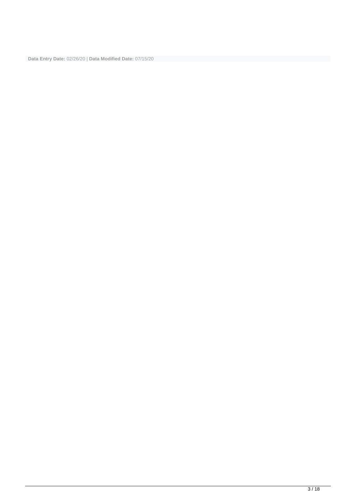**Data Entry Date:** 02/26/20 | **Data Modified Date:** 07/15/20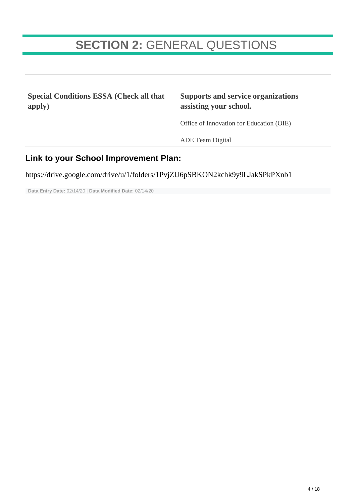# **SECTION 2:** GENERAL QUESTIONS

**Special Conditions ESSA (Check all that apply)**

### **Supports and service organizations assisting your school.**

Office of Innovation for Education (OIE)

ADE Team Digital

### **Link to your School Improvement Plan:**

https://drive.google.com/drive/u/1/folders/1PvjZU6pSBKON2kchk9y9LJakSPkPXnb1

**Data Entry Date:** 02/14/20 | **Data Modified Date:** 02/14/20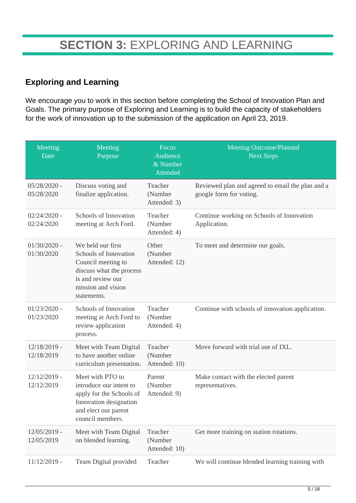### **Exploring and Learning**

We encourage you to work in this section before completing the School of Innovation Plan and Goals. The primary purpose of Exploring and Learning is to build the capacity of stakeholders for the work of innovation up to the submission of the application on April 23, 2019.

| Meeting<br>Date              | Meeting<br>Purpose                                                                                                                                     | Focus<br>Audience<br>& Number<br>Attended | <b>Meeting Outcome/Planned</b><br><b>Next Steps</b>                         |
|------------------------------|--------------------------------------------------------------------------------------------------------------------------------------------------------|-------------------------------------------|-----------------------------------------------------------------------------|
| $05/28/2020$ -<br>05/28/2020 | Discuss voting and<br>finalize application.                                                                                                            | Teacher<br>(Number<br>Attended: 3)        | Reviewed plan and agreed to email the plan and a<br>google form for voting. |
| $02/24/2020$ -<br>02/24/2020 | Schools of Innovation<br>meeting at Arch Ford.                                                                                                         | Teacher<br>(Number<br>Attended: 4)        | Continue working on Schools of Innovation<br>Application.                   |
| $01/30/2020$ -<br>01/30/2020 | We held our first<br>Schools of Innovation<br>Council meeting to<br>discuss what the process<br>is and review our<br>mission and vision<br>statements. | Other<br>(Number<br>Attended: 12)         | To meet and determine our goals.                                            |
| $01/23/2020$ -<br>01/23/2020 | Schools of Innovation<br>meeting at Arch Ford to<br>review application<br>process.                                                                     | Teacher<br>(Number<br>Attended: 4)        | Continue with schools of innovation application.                            |
| $12/18/2019$ -<br>12/18/2019 | Meet with Team Digital<br>to have another online<br>curriculum presentation.                                                                           | Teacher<br>(Number<br>Attended: 10)       | Move forward with trial use of IXL.                                         |
| $12/12/2019$ -<br>12/12/2019 | Meet with PTO to<br>introduce our intent to<br>apply for the Schools of<br>Innovation designation<br>and elect our parent<br>council members.          | Parent<br>(Number<br>Attended: 9)         | Make contact with the elected parent<br>representatives.                    |
| 12/05/2019 -<br>12/05/2019   | Meet with Team Digital<br>on blended learning.                                                                                                         | Teacher<br>(Number<br>Attended: 10)       | Get more training on station rotations.                                     |
| $11/12/2019$ -               | Team Digital provided                                                                                                                                  | Teacher                                   | We will continue blended learning training with                             |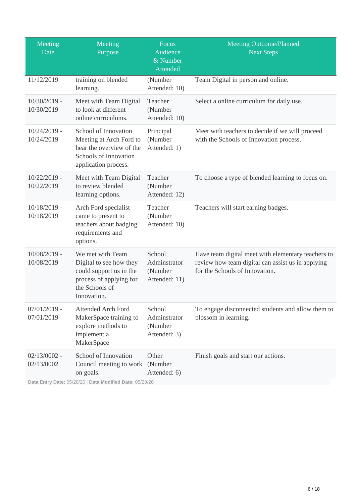| Meeting<br>Date              | Meeting<br>Purpose                                                                                                                  | Focus<br>Audience<br>& Number<br><b>Attended</b>   | Meeting Outcome/Planned<br><b>Next Steps</b>                                                                                              |
|------------------------------|-------------------------------------------------------------------------------------------------------------------------------------|----------------------------------------------------|-------------------------------------------------------------------------------------------------------------------------------------------|
| 11/12/2019                   | training on blended<br>learning.                                                                                                    | (Number<br>Attended: 10)                           | Team Digital in person and online.                                                                                                        |
| $10/30/2019$ -<br>10/30/2019 | Meet with Team Digital<br>to look at different<br>online curriculums.                                                               | Teacher<br>(Number<br>Attended: 10)                | Select a online curriculum for daily use.                                                                                                 |
| $10/24/2019$ -<br>10/24/2019 | School of Innovation<br>Meeting at Arch Ford to<br>hear the overview of the<br><b>Schools of Innovation</b><br>application process. | Principal<br>(Number<br>Attended: 1)               | Meet with teachers to decide if we will proceed<br>with the Schools of Innovation process.                                                |
| $10/22/2019$ -<br>10/22/2019 | Meet with Team Digital<br>to review blended<br>learning options.                                                                    | Teacher<br>(Number<br>Attended: 12)                | To choose a type of blended learning to focus on.                                                                                         |
| $10/18/2019$ -<br>10/18/2019 | Arch Ford specialist<br>came to present to<br>teachers about badging<br>requirements and<br>options.                                | Teacher<br>(Number<br>Attended: 10)                | Teachers will start earning badges.                                                                                                       |
| $10/08/2019$ -<br>10/08/2019 | We met with Team<br>Digital to see how they<br>could support us in the<br>process of applying for<br>the Schools of<br>Innovation.  | School<br>Adminstrator<br>(Number<br>Attended: 11) | Have team digital meet with elementary teachers to<br>review how team digital can assist us in applying<br>for the Schools of Innovation. |
| $07/01/2019$ -<br>07/01/2019 | <b>Attended Arch Ford</b><br>MakerSpace training to<br>explore methods to<br>implement a<br>MakerSpace                              | School<br>Adminstrator<br>(Number<br>Attended: 3)  | To engage disconnected students and allow them to<br>blossom in learning.                                                                 |
| $02/13/0002$ -<br>02/13/0002 | School of Innovation<br>Council meeting to work<br>on goals.                                                                        | Other<br>(Number<br>Attended: 6)                   | Finish goals and start our actions.                                                                                                       |

**Data Entry Date:** 05/28/20 | **Data Modified Date:** 05/28/20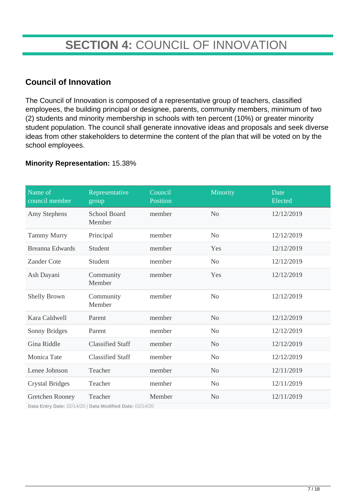# **SECTION 4:** COUNCIL OF INNOVATION

### **Council of Innovation**

The Council of Innovation is composed of a representative group of teachers, classified employees, the building principal or designee, parents, community members, minimum of two (2) students and minority membership in schools with ten percent (10%) or greater minority student population. The council shall generate innovative ideas and proposals and seek diverse ideas from other stakeholders to determine the content of the plan that will be voted on by the school employees.

#### **Minority Representation:** 15.38%

| Name of<br>council member                    | Representative<br>group                 | Council<br>Position | Minority       | Date<br>Elected |
|----------------------------------------------|-----------------------------------------|---------------------|----------------|-----------------|
| Amy Stephens                                 | <b>School Board</b><br>Member           | member              | N <sub>o</sub> | 12/12/2019      |
| <b>Tammy Murry</b>                           | Principal                               | member              | N <sub>0</sub> | 12/12/2019      |
| <b>Breanna Edwards</b>                       | Student                                 | member              | Yes            | 12/12/2019      |
| <b>Zander Cote</b>                           | Student                                 | member              | N <sub>o</sub> | 12/12/2019      |
| Ash Dayani                                   | Community<br>Member                     | member              | Yes            | 12/12/2019      |
| <b>Shelly Brown</b>                          | Community<br>Member                     | member              | N <sub>o</sub> | 12/12/2019      |
| Kara Caldwell                                | Parent                                  | member              | N <sub>0</sub> | 12/12/2019      |
| Sonny Bridges                                | Parent                                  | member              | N <sub>o</sub> | 12/12/2019      |
| Gina Riddle                                  | <b>Classified Staff</b>                 | member              | N <sub>o</sub> | 12/12/2019      |
| Monica Tate                                  | <b>Classified Staff</b>                 | member              | N <sub>o</sub> | 12/12/2019      |
| Lenee Johnson                                | Teacher                                 | member              | N <sub>o</sub> | 12/11/2019      |
| <b>Crystal Bridges</b>                       | Teacher                                 | member              | N <sub>o</sub> | 12/11/2019      |
| Gretchen Rooney<br>Data Entry Date: 02/14/20 | Teacher<br>Data Modified Date: 02/14/20 | Member              | N <sub>o</sub> | 12/11/2019      |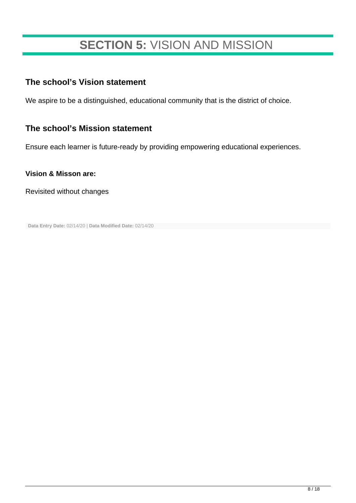# **SECTION 5:** VISION AND MISSION

### **The school's Vision statement**

We aspire to be a distinguished, educational community that is the district of choice.

### **The school's Mission statement**

Ensure each learner is future-ready by providing empowering educational experiences.

#### **Vision & Misson are:**

Revisited without changes

**Data Entry Date:** 02/14/20 | **Data Modified Date:** 02/14/20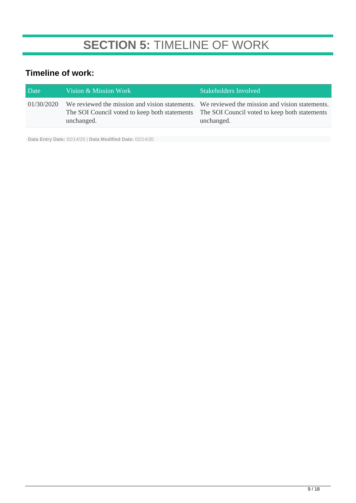# **SECTION 5:** TIMELINE OF WORK

## **Timeline of work:**

| Date       | Vision & Mission Work                                                                                     | Stakeholders Involved                                                                                       |
|------------|-----------------------------------------------------------------------------------------------------------|-------------------------------------------------------------------------------------------------------------|
| 01/30/2020 | The SOI Council voted to keep both statements The SOI Council voted to keep both statements<br>unchanged. | We reviewed the mission and vision statements. We reviewed the mission and vision statements.<br>unchanged. |

**Data Entry Date:** 02/14/20 | **Data Modified Date:** 02/14/20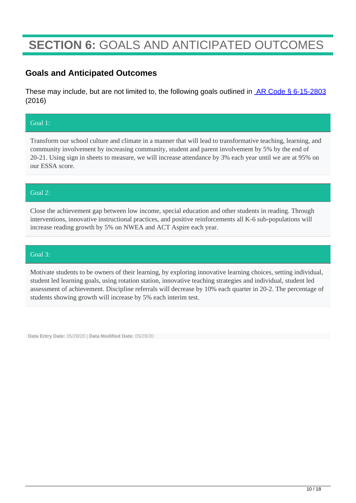# **SECTION 6:** GOALS AND ANTICIPATED OUTCOMES

### **Goals and Anticipated Outcomes**

These may include, but are not limited to, the following goals outlined in **AR Code § 6-15-2803** (2016)

#### Goal 1:

Transform our school culture and climate in a manner that will lead to transformative teaching, learning, and community involvement by increasing community, student and parent involvement by 5% by the end of 20-21. Using sign in sheets to measure, we will increase attendance by 3% each year until we are at 95% on our ESSA score.

#### Goal 2:

Close the achievement gap between low income, special education and other students in reading. Through interventions, innovative instructional practices, and positive reinforcements all K-6 sub-populations will increase reading growth by 5% on NWEA and ACT Aspire each year.

#### Goal 3:

Motivate students to be owners of their learning, by exploring innovative learning choices, setting individual, student led learning goals, using rotation station, innovative teaching strategies and individual, student led assessment of achievement. Discipline referrals will decrease by 10% each quarter in 20-2. The percentage of students showing growth will increase by 5% each interim test.

**Data Entry Date:** 05/28/20 | **Data Modified Date:** 05/28/20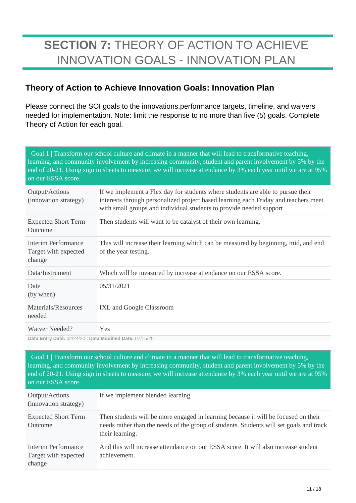# **SECTION 7:** THEORY OF ACTION TO ACHIEVE INNOVATION GOALS - INNOVATION PLAN

### **Theory of Action to Achieve Innovation Goals: Innovation Plan**

Please connect the SOI goals to the innovations,performance targets, timeline, and waivers needed for implementation. Note: limit the response to no more than five (5) goals. Complete Theory of Action for each goal.

Goal 1 | Transform our school culture and climate in a manner that will lead to transformative teaching, learning, and community involvement by increasing community, student and parent involvement by 5% by the end of 20-21. Using sign in sheets to measure, we will increase attendance by 3% each year until we are at 95% on our ESSA score.

| Output/Actions<br>(innovation strategy)                  | If we implement a Flex day for students where students are able to pursue their<br>interests through personalized project based learning each Friday and teachers meet<br>with small groups and individual students to provide needed support |
|----------------------------------------------------------|-----------------------------------------------------------------------------------------------------------------------------------------------------------------------------------------------------------------------------------------------|
| <b>Expected Short Term</b><br>Outcome                    | Then students will want to be catalyst of their own learning.                                                                                                                                                                                 |
| Interim Performance<br>Target with expected<br>change    | This will increase their learning which can be measured by beginning, mid, and end<br>of the year testing.                                                                                                                                    |
| Data/Instrument                                          | Which will be measured by increase attendance on our ESSA score.                                                                                                                                                                              |
| Date<br>(by when)                                        | 05/31/2021                                                                                                                                                                                                                                    |
| Materials/Resources<br>needed                            | IXL and Google Classroom                                                                                                                                                                                                                      |
| Waiver Needed?                                           | <b>Yes</b>                                                                                                                                                                                                                                    |
| Data Entry Date: 02/24/20   Data Modified Date: 07/15/20 |                                                                                                                                                                                                                                               |

Goal 1 | Transform our school culture and climate in a manner that will lead to transformative teaching, learning, and community involvement by increasing community, student and parent involvement by 5% by the end of 20-21. Using sign in sheets to measure, we will increase attendance by 3% each year until we are at 95% on our ESSA score.

| Output/Actions<br>(innovation strategy)               | If we implement blended learning                                                                                                                                                                 |
|-------------------------------------------------------|--------------------------------------------------------------------------------------------------------------------------------------------------------------------------------------------------|
| <b>Expected Short Term</b><br>Outcome                 | Then students will be more engaged in learning because it will be focused on their<br>needs rather than the needs of the group of students. Students will set goals and track<br>their learning. |
| Interim Performance<br>Target with expected<br>change | And this will increase attendance on our ESSA score. It will also increase student<br>achievement.                                                                                               |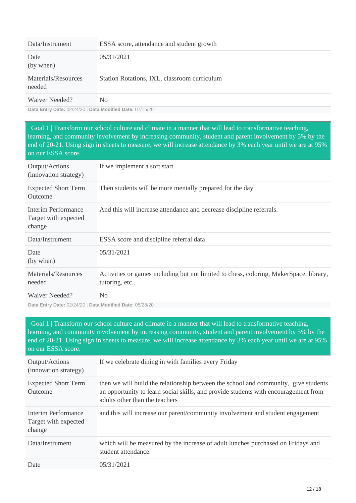| Data/Instrument               | ESSA score, attendance and student growth    |
|-------------------------------|----------------------------------------------|
| Date<br>(by when)             | 05/31/2021                                   |
| Materials/Resources<br>needed | Station Rotations, IXL, classroom curriculum |
| Waiver Needed?                | N <sub>0</sub>                               |

**Data Entry Date:** 02/24/20 | **Data Modified Date:** 07/15/20

Goal 1 | Transform our school culture and climate in a manner that will lead to transformative teaching, learning, and community involvement by increasing community, student and parent involvement by 5% by the end of 20-21. Using sign in sheets to measure, we will increase attendance by 3% each year until we are at 95% on our ESSA score.

| Output/Actions<br>(innovation strategy)               | If we implement a soft start                                                                            |
|-------------------------------------------------------|---------------------------------------------------------------------------------------------------------|
| <b>Expected Short Term</b><br>Outcome                 | Then students will be more mentally prepared for the day                                                |
| Interim Performance<br>Target with expected<br>change | And this will increase attendance and decrease discipline referrals.                                    |
| Data/Instrument                                       | ESSA score and discipline referral data                                                                 |
| Date<br>(by when)                                     | 05/31/2021                                                                                              |
| Materials/Resources<br>needed                         | Activities or games including but not limited to chess, coloring, MakerSpace, library,<br>tutoring, etc |
| Waiver Needed?                                        | N <sub>0</sub>                                                                                          |

**Data Entry Date:** 02/24/20 | **Data Modified Date:** 05/28/20

Goal 1 | Transform our school culture and climate in a manner that will lead to transformative teaching, learning, and community involvement by increasing community, student and parent involvement by 5% by the end of 20-21. Using sign in sheets to measure, we will increase attendance by 3% each year until we are at 95% on our ESSA score.

| Output/Actions<br>(innovation strategy)               | If we celebrate dining in with families every Friday                                                                                                                                                         |
|-------------------------------------------------------|--------------------------------------------------------------------------------------------------------------------------------------------------------------------------------------------------------------|
| <b>Expected Short Term</b><br>Outcome                 | then we will build the relationship between the school and community, give students<br>an opportunity to learn social skills, and provide students with encouragement from<br>adults other than the teachers |
| Interim Performance<br>Target with expected<br>change | and this will increase our parent/community involvement and student engagement                                                                                                                               |
| Data/Instrument                                       | which will be measured by the increase of adult lunches purchased on Fridays and<br>student attendance.                                                                                                      |
| Date                                                  | 05/31/2021                                                                                                                                                                                                   |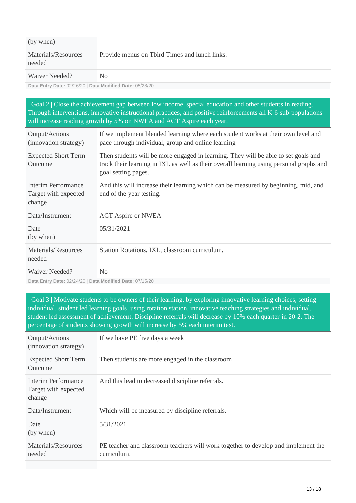| (by when)                                                                                                                                                                                                                                                                                                                                 |                                               |
|-------------------------------------------------------------------------------------------------------------------------------------------------------------------------------------------------------------------------------------------------------------------------------------------------------------------------------------------|-----------------------------------------------|
| Materials/Resources<br>needed                                                                                                                                                                                                                                                                                                             | Provide menus on Tbird Times and lunch links. |
| $\mathbf{X} \mathbf{Y} \mathbf{Y}$ $\mathbf{Y}$ $\mathbf{X} \mathbf{Y}$ $\mathbf{Y}$ $\mathbf{Y}$ $\mathbf{Y}$ $\mathbf{Y}$ $\mathbf{Y}$ $\mathbf{Y}$ $\mathbf{Y}$ $\mathbf{Y}$ $\mathbf{Y}$ $\mathbf{Y}$ $\mathbf{Y}$ $\mathbf{Y}$ $\mathbf{Y}$ $\mathbf{Y}$ $\mathbf{Y}$ $\mathbf{Y}$ $\mathbf{Y}$ $\mathbf{Y}$ $\mathbf{Y}$ $\mathbf{$ |                                               |

Waiver Needed? No

**Data Entry Date:** 02/26/20 | **Data Modified Date:** 05/28/20

Goal 2 | Close the achievement gap between low income, special education and other students in reading. Through interventions, innovative instructional practices, and positive reinforcements all K-6 sub-populations will increase reading growth by 5% on NWEA and ACT Aspire each year.

| Output/Actions<br>(innovation strategy)               | If we implement blended learning where each student works at their own level and<br>pace through individual, group and online learning                                                               |
|-------------------------------------------------------|------------------------------------------------------------------------------------------------------------------------------------------------------------------------------------------------------|
| <b>Expected Short Term</b><br>Outcome                 | Then students will be more engaged in learning. They will be able to set goals and<br>track their learning in IXL as well as their overall learning using personal graphs and<br>goal setting pages. |
| Interim Performance<br>Target with expected<br>change | And this will increase their learning which can be measured by beginning, mid, and<br>end of the year testing.                                                                                       |
| Data/Instrument                                       | <b>ACT Aspire or NWEA</b>                                                                                                                                                                            |
| Date<br>(by when)                                     | 05/31/2021                                                                                                                                                                                           |
| Materials/Resources<br>needed                         | Station Rotations, IXL, classroom curriculum.                                                                                                                                                        |
| Waiver Needed?                                        | No                                                                                                                                                                                                   |

**Data Entry Date:** 02/24/20 | **Data Modified Date:** 07/15/20

 Goal 3 | Motivate students to be owners of their learning, by exploring innovative learning choices, setting individual, student led learning goals, using rotation station, innovative teaching strategies and individual, student led assessment of achievement. Discipline referrals will decrease by 10% each quarter in 20-2. The percentage of students showing growth will increase by 5% each interim test.

| If we have PE five days a week                                                                   |
|--------------------------------------------------------------------------------------------------|
| Then students are more engaged in the classroom                                                  |
| And this lead to decreased discipline referrals.                                                 |
| Which will be measured by discipline referrals.                                                  |
| 5/31/2021                                                                                        |
| PE teacher and classroom teachers will work together to develop and implement the<br>curriculum. |
|                                                                                                  |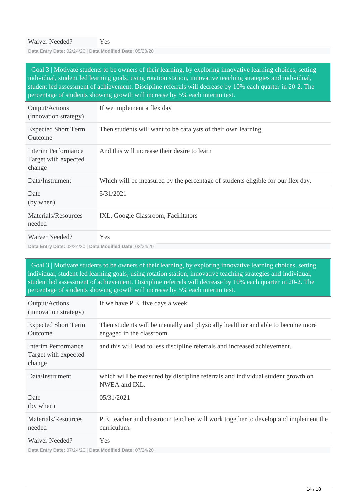**Data Entry Date:** 02/24/20 | **Data Modified Date:** 05/28/20

 Goal 3 | Motivate students to be owners of their learning, by exploring innovative learning choices, setting individual, student led learning goals, using rotation station, innovative teaching strategies and individual, student led assessment of achievement. Discipline referrals will decrease by 10% each quarter in 20-2. The percentage of students showing growth will increase by 5% each interim test.

| Output/Actions<br>(innovation strategy)               | If we implement a flex day                                                      |
|-------------------------------------------------------|---------------------------------------------------------------------------------|
| <b>Expected Short Term</b><br>Outcome                 | Then students will want to be catalysts of their own learning.                  |
| Interim Performance<br>Target with expected<br>change | And this will increase their desire to learn                                    |
| Data/Instrument                                       | Which will be measured by the percentage of students eligible for our flex day. |
| Date<br>(by when)                                     | 5/31/2021                                                                       |
| Materials/Resources<br>needed                         | IXL, Google Classroom, Facilitators                                             |
| Waiver Needed?                                        | <b>Yes</b>                                                                      |

**Data Entry Date:** 02/24/20 | **Data Modified Date:** 02/24/20

 Goal 3 | Motivate students to be owners of their learning, by exploring innovative learning choices, setting individual, student led learning goals, using rotation station, innovative teaching strategies and individual, student led assessment of achievement. Discipline referrals will decrease by 10% each quarter in 20-2. The percentage of students showing growth will increase by 5% each interim test.

| Output/Actions<br>(innovation strategy)                      | If we have P.E. five days a week                                                                            |
|--------------------------------------------------------------|-------------------------------------------------------------------------------------------------------------|
| <b>Expected Short Term</b><br>Outcome                        | Then students will be mentally and physically healthier and able to become more<br>engaged in the classroom |
| <b>Interim Performance</b><br>Target with expected<br>change | and this will lead to less discipline referrals and increased achievement.                                  |
| Data/Instrument                                              | which will be measured by discipline referrals and individual student growth on<br>NWEA and IXL.            |
| Date<br>(by when)                                            | 05/31/2021                                                                                                  |
| Materials/Resources<br>needed                                | P.E. teacher and classroom teachers will work together to develop and implement the<br>curriculum.          |
| Waiver Needed?                                               | <b>Yes</b>                                                                                                  |

**Data Entry Date:** 07/24/20 | **Data Modified Date:** 07/24/20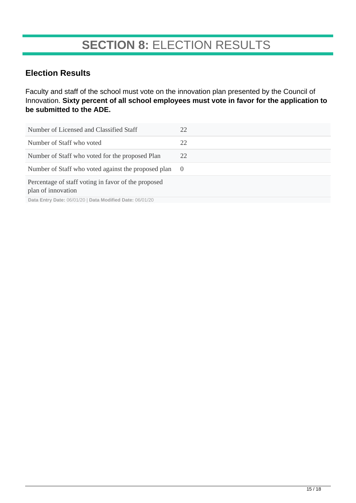# **SECTION 8:** ELECTION RESULTS

### **Election Results**

Faculty and staff of the school must vote on the innovation plan presented by the Council of Innovation. **Sixty percent of all school employees must vote in favor for the application to be submitted to the ADE.**

| Number of Licensed and Classified Staff                                                                                                                                                                                                   | 22             |
|-------------------------------------------------------------------------------------------------------------------------------------------------------------------------------------------------------------------------------------------|----------------|
| Number of Staff who voted                                                                                                                                                                                                                 | 22             |
| Number of Staff who voted for the proposed Plan                                                                                                                                                                                           | 22             |
| Number of Staff who voted against the proposed plan                                                                                                                                                                                       | $\overline{0}$ |
| Percentage of staff voting in favor of the proposed<br>plan of innovation<br>$D - 1 = F_{n+1} \ldots D - 1 = \bigcap_{n=1}^{n} A_n / (n+1) D_{n+1} = \mathbb{N} \cup \{1, 2, \ldots, n\} D_{n+1} = \bigcap_{n=1}^{n} A_n / (n+1) D_{n+1}$ |                |

**Data Entry Date:** 06/01/20 | **Data Modified Date:** 06/01/20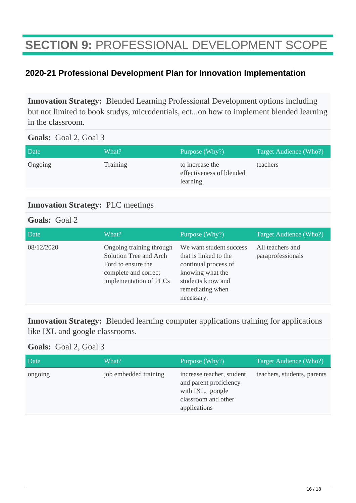# **SECTION 9:** PROFESSIONAL DEVELOPMENT SCOPE

### **2020-21 Professional Development Plan for Innovation Implementation**

**Innovation Strategy:** Blended Learning Professional Development options including but not limited to book studys, microdentials, ect...on how to implement blended learning in the classroom.

#### **Goals:** Goal 2, Goal 3

| Date    | What?    | Purpose (Why?)                                          | Target Audience (Who?) |
|---------|----------|---------------------------------------------------------|------------------------|
| Ongoing | Training | to increase the<br>effectiveness of blended<br>learning | teachers               |

### **Innovation Strategy:** PLC meetings

#### **Goals:** Goal 2

| Date       | What?                                                                                                                      | Purpose (Why?)                                                                                                                                      | Target Audience (Who?)                |
|------------|----------------------------------------------------------------------------------------------------------------------------|-----------------------------------------------------------------------------------------------------------------------------------------------------|---------------------------------------|
| 08/12/2020 | Ongoing training through<br>Solution Tree and Arch<br>Ford to ensure the<br>complete and correct<br>implementation of PLCs | We want student success<br>that is linked to the<br>continual process of<br>knowing what the<br>students know and<br>remediating when<br>necessary. | All teachers and<br>paraprofessionals |

**Innovation Strategy:** Blended learning computer applications training for applications like IXL and google classrooms.

### **Goals:** Goal 2, Goal 3

| Date    | What?                 | Purpose (Why?)                                                                                                 | Target Audience (Who?)      |
|---------|-----------------------|----------------------------------------------------------------------------------------------------------------|-----------------------------|
| ongoing | job embedded training | increase teacher, student<br>and parent proficiency<br>with IXL, google<br>classroom and other<br>applications | teachers, students, parents |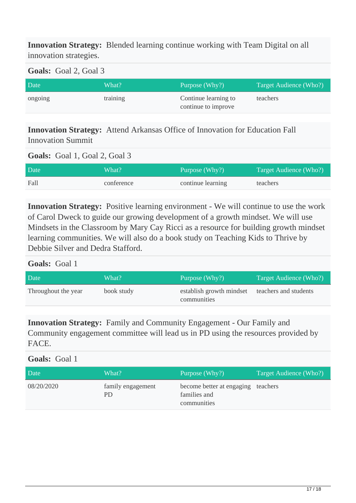**Innovation Strategy:** Blended learning continue working with Team Digital on all innovation strategies.

**Goals:** Goal 2, Goal 3

| Date    | What?    | Purpose (Why?)                              | Target Audience (Who?) |
|---------|----------|---------------------------------------------|------------------------|
| ongoing | training | Continue learning to<br>continue to improve | teachers               |

**Innovation Strategy:** Attend Arkansas Office of Innovation for Education Fall Innovation Summit

#### **Goals:** Goal 1, Goal 2, Goal 3

| Date | What?      | Purpose (Why?)    | Target Audience (Who?) |
|------|------------|-------------------|------------------------|
| Fall | conference | continue learning | teachers               |

**Innovation Strategy:** Positive learning environment - We will continue to use the work of Carol Dweck to guide our growing development of a growth mindset. We will use Mindsets in the Classroom by Mary Cay Ricci as a resource for building growth mindset learning communities. We will also do a book study on Teaching Kids to Thrive by Debbie Silver and Dedra Stafford.

#### **Goals:** Goal 1

| Date                | What?      | Purpose (Why?)                          | Target Audience (Who?) |
|---------------------|------------|-----------------------------------------|------------------------|
| Throughout the year | book study | establish growth mindset<br>communities | teachers and students  |

**Innovation Strategy:** Family and Community Engagement - Our Family and Community engagement committee will lead us in PD using the resources provided by FACE.

### **Goals:** Goal 1

| Date       | What?                   | Purpose (Why?)                                                    | Target Audience (Who?) |
|------------|-------------------------|-------------------------------------------------------------------|------------------------|
| 08/20/2020 | family engagement<br>PD | become better at engaging teachers<br>families and<br>communities |                        |